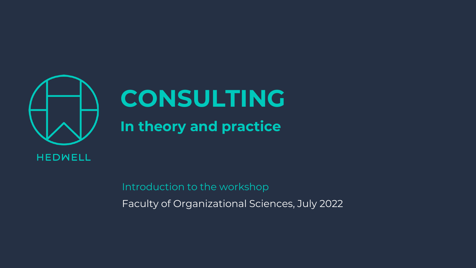

# **CONSULTING**

## **In theory and practice**

Introduction to the workshop Faculty of Organizational Sciences, July 2022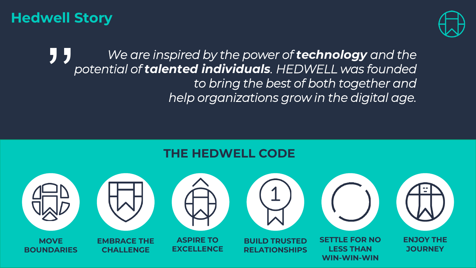#### **Hedwell Story**



**1 J** *We are inspired by the power of technology and the potential of talented individuals. HEDWELL was founded to bring the best of both together and help organizations grow in the digital age. potential of talented individuals. HEDWELL was founded to bring the best of both together and help organizations grow in the digital age.*

#### **THE HEDWELL CODE**

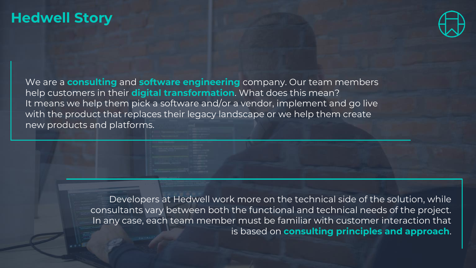#### **Hedwell Story**



We are a **consulting** and **software engineering** company. Our team members help customers in their **digital transformation**. What does this mean? It means we help them pick a software and/or a vendor, implement and go live with the product that replaces their legacy landscape or we help them create new products and platforms.

> Developers at Hedwell work more on the technical side of the solution, while consultants vary between both the functional and technical needs of the project. In any case, each team member must be familiar with customer interaction that is based on **consulting principles and approach**.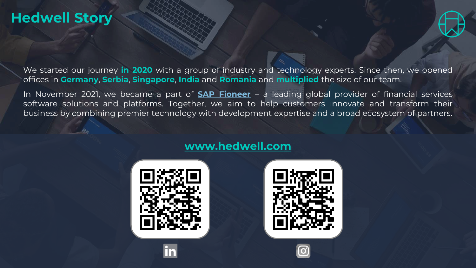#### **Hedwell Story**



We started our journey **in 2020** with a group of industry and technology experts. Since then, we opened offices in **Germany**, **Serbia**, **Singapore**, **India** and **Romania** and **multiplied** the size of our team.

In November 2021, we became a part of **[SAP Fioneer](https://www.sapfioneer.com/)** – a leading global provider of financial services software solutions and platforms. Together, we aim to help customers innovate and transform their business by combining premier technology with development expertise and a broad ecosystem of partners.



#### **[www.hedwell.com](http://www.hedwell.com/)**

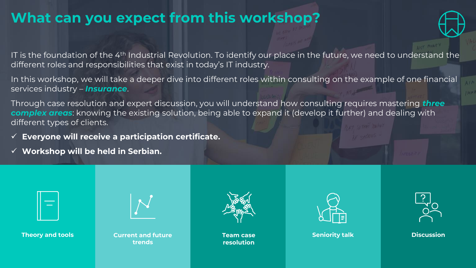## **What can you expect from this workshop?**



IT is the foundation of the 4<sup>th</sup> Industrial Revolution. To identify our place in the future, we need to understand the different roles and responsibilities that exist in today's IT industry.

In this workshop, we will take a deeper dive into different roles within consulting on the example of one financial services industry – *Insurance*.

Through case resolution and expert discussion, you will understand how consulting requires mastering *three complex areas*: knowing the existing solution, being able to expand it (develop it further) and dealing with different types of clients.

- ✓ **Everyone will receive a participation certificate.**
- ✓ **Workshop will be held in Serbian.**

**Theory and tools Current and future trends**



**resolution**



**Team case Seniority talk Discussion**

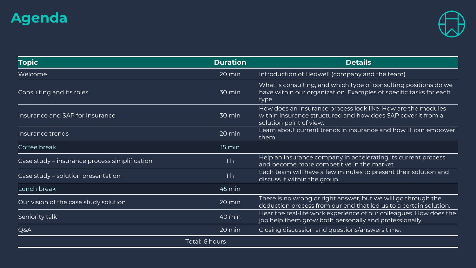## **Agenda**



| <b>Topic</b>                                  | <b>Duration</b> | <b>Details</b>                                                                                                                                          |
|-----------------------------------------------|-----------------|---------------------------------------------------------------------------------------------------------------------------------------------------------|
| Welcome                                       | 20 min          | Introduction of Hedwell (company and the team)                                                                                                          |
| Consulting and its roles                      | 30 min          | What is consulting, and which type of consulting positions do we<br>have within our organization. Examples of specific tasks for each<br>type.          |
| Insurance and SAP for Insurance               | 30 min          | How does an insurance process look like. How are the modules<br>within insurance structured and how does SAP cover it from a<br>solution point of view. |
| Insurance trends                              | 20 min          | Learn about current trends in insurance and how IT can empower<br>them.                                                                                 |
| Coffee break                                  | 15 min          |                                                                                                                                                         |
| Case study – insurance process simplification | 1 <sub>h</sub>  | Help an insurance company in accelerating its current process<br>and become more competitive in the market.                                             |
| Case study - solution presentation            | 1 <sub>h</sub>  | Each team will have a few minutes to present their solution and<br>discuss it within the group.                                                         |
| Lunch break                                   | 45 min          |                                                                                                                                                         |
| Our vision of the case study solution         | 20 min          | There is no wrong or right answer, but we will go through the<br>deduction process from our end that led us to a certain solution.                      |
| Seniority talk                                | 40 min          | Hear the real-life work experience of our colleagues. How does the<br>job help them grow both personally and professionally.                            |
| Q&A                                           | 20 min          | Closing discussion and questions/answers time.                                                                                                          |
|                                               | Total: 6 hours  |                                                                                                                                                         |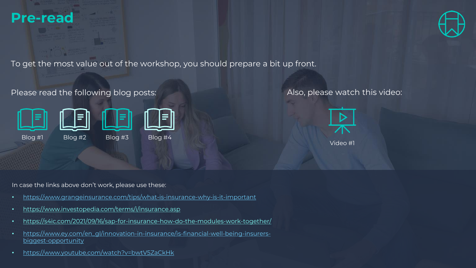



To get the most value out of the workshop, you should prepare a bit up front.

#### Please read the following blog posts:



#### Also, please watch this video:



In case the links above don't work, please use these:

- <https://www.grangeinsurance.com/tips/what-is-insurance-why-is-it-important>
- <https://www.investopedia.com/terms/i/insurance.asp>
- [https://s4ic.com/2021/09/16/sap-for-insurance-how-do-the-modules-work-together/](https://www.grangeinsurance.com/tips/what-is-insurance-why-is-it-important)
- [https://www.ey.com/en\\_gl/innovation-in-insurance/is-financial-well-being-insurers](https://www.ey.com/en_gl/innovation-in-insurance/is-financial-well-being-insurers-biggest-opportunity)biggest-opportunity
- <https://www.youtube.com/watch?v=bwtV5ZaCkHk>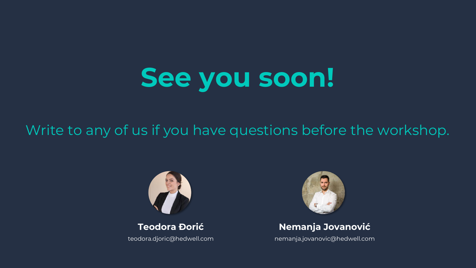## **See you soon!**

## Write to any of us if you have questions before the workshop.



**Teodora Đorić** teodora.djoric@hedwell.com



#### **Nemanja Jovanović**

nemanja.jovanovic@hedwell.com